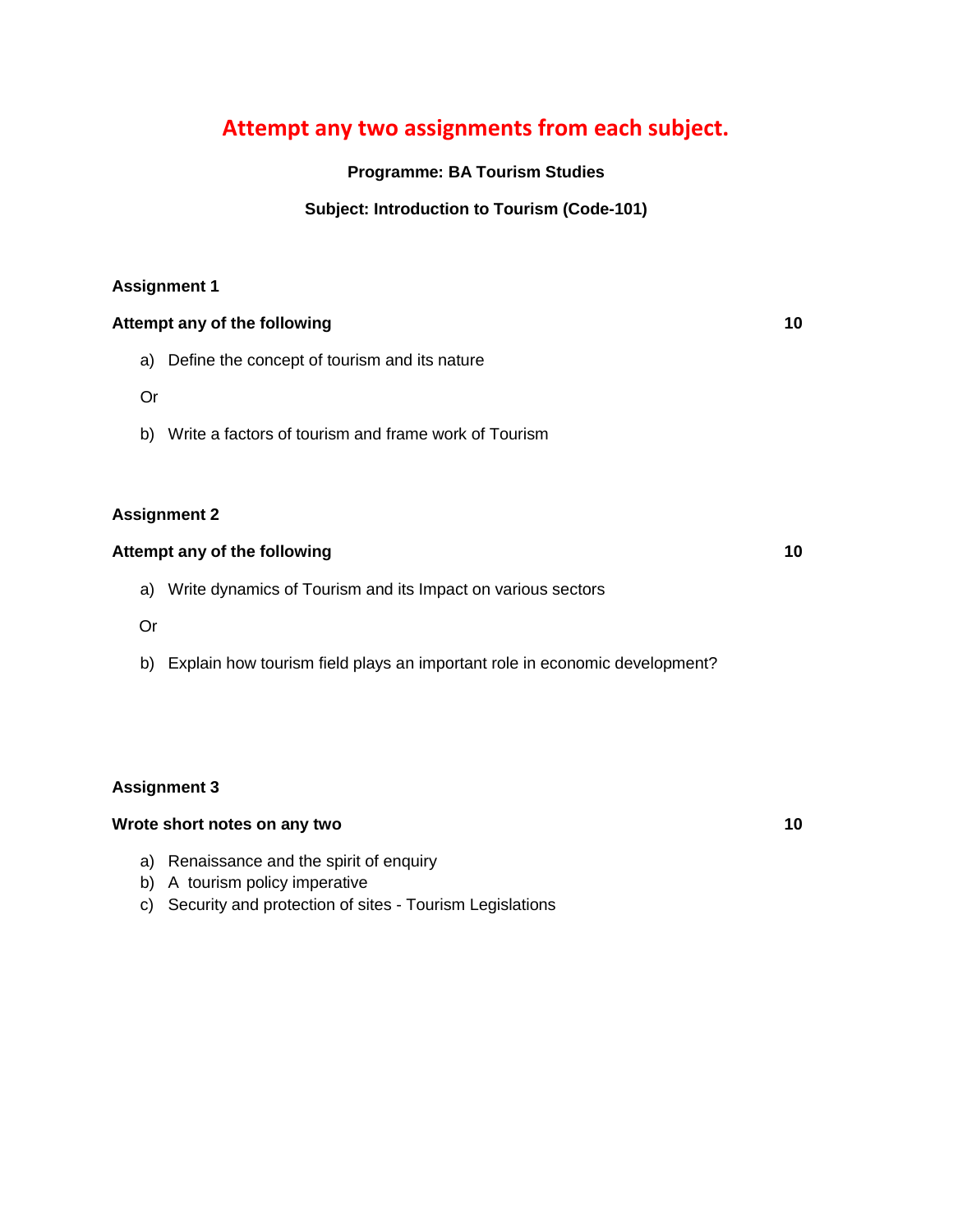### **Attempt any two assignments from each subject.**

### **Programme: BA Tourism Studies**

### **Subject: Introduction to Tourism (Code-101)**

### **Assignment 1**

|                     | Attempt any of the following                                   |  |  |  |
|---------------------|----------------------------------------------------------------|--|--|--|
|                     | a) Define the concept of tourism and its nature                |  |  |  |
| Or                  |                                                                |  |  |  |
|                     | b) Write a factors of tourism and frame work of Tourism        |  |  |  |
|                     |                                                                |  |  |  |
| <b>Assignment 2</b> |                                                                |  |  |  |
|                     | Attempt any of the following                                   |  |  |  |
|                     | a) Write dynamics of Tourism and its Impact on various sectors |  |  |  |
| Or                  |                                                                |  |  |  |
|                     |                                                                |  |  |  |

b) Explain how tourism field plays an important role in economic development?

### **Assignment 3**

### **Wrote short notes on any two 10**

- a) Renaissance and the spirit of enquiry
- b) A tourism policy imperative
- c) Security and protection of sites Tourism Legislations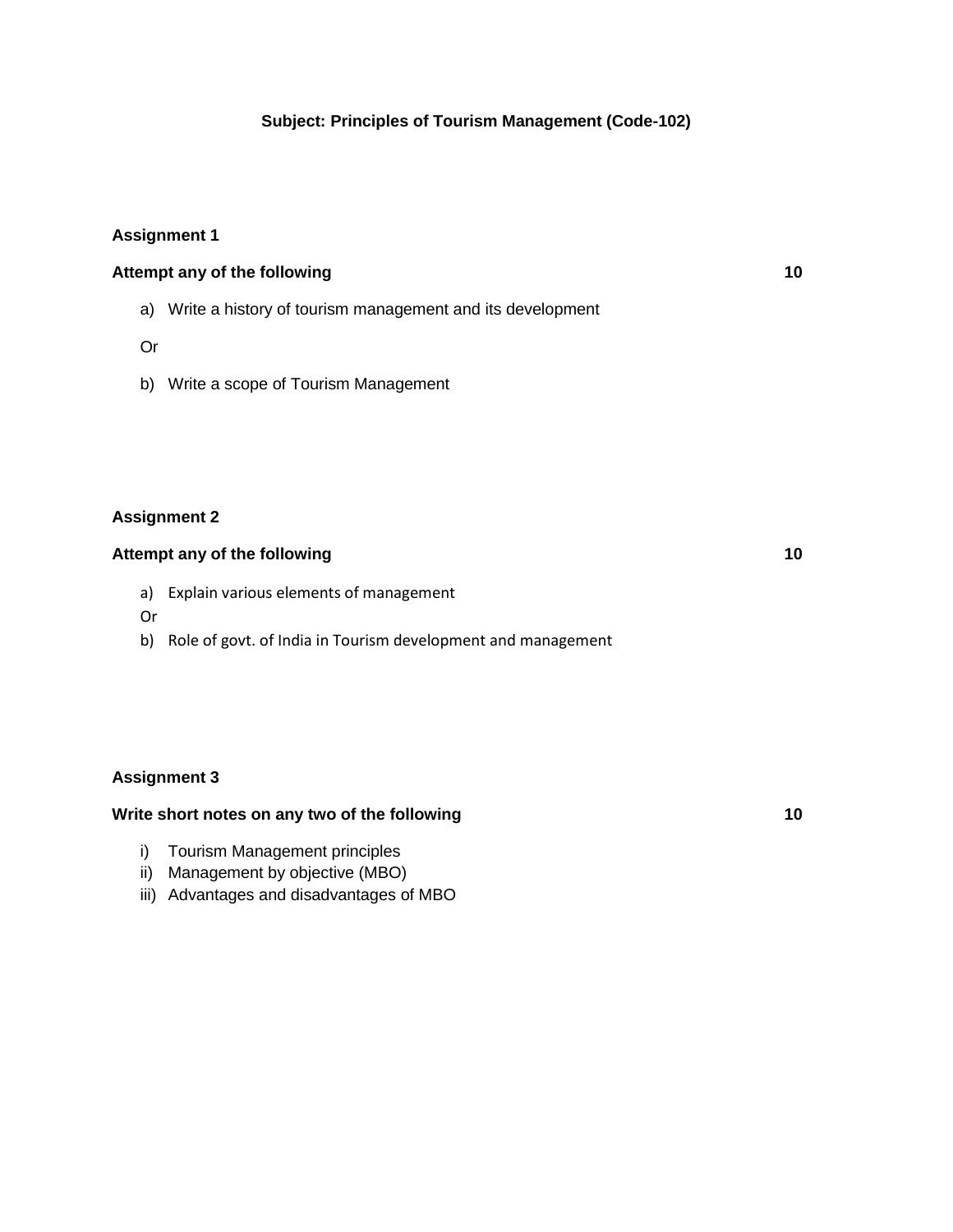### **Assignment 1**

| Attempt any of the following |                                                              | 10 |
|------------------------------|--------------------------------------------------------------|----|
|                              | a) Write a history of tourism management and its development |    |
| Or                           |                                                              |    |

b) Write a scope of Tourism Management

### **Assignment 2**

### **Attempt any of the following 10**

- a) Explain various elements of management
- Or
- b) Role of govt. of India in Tourism development and management

### **Assignment 3**

### **Write short notes on any two of the following 10**

- i) Tourism Management principles
- ii) Management by objective (MBO)
- iii) Advantages and disadvantages of MBO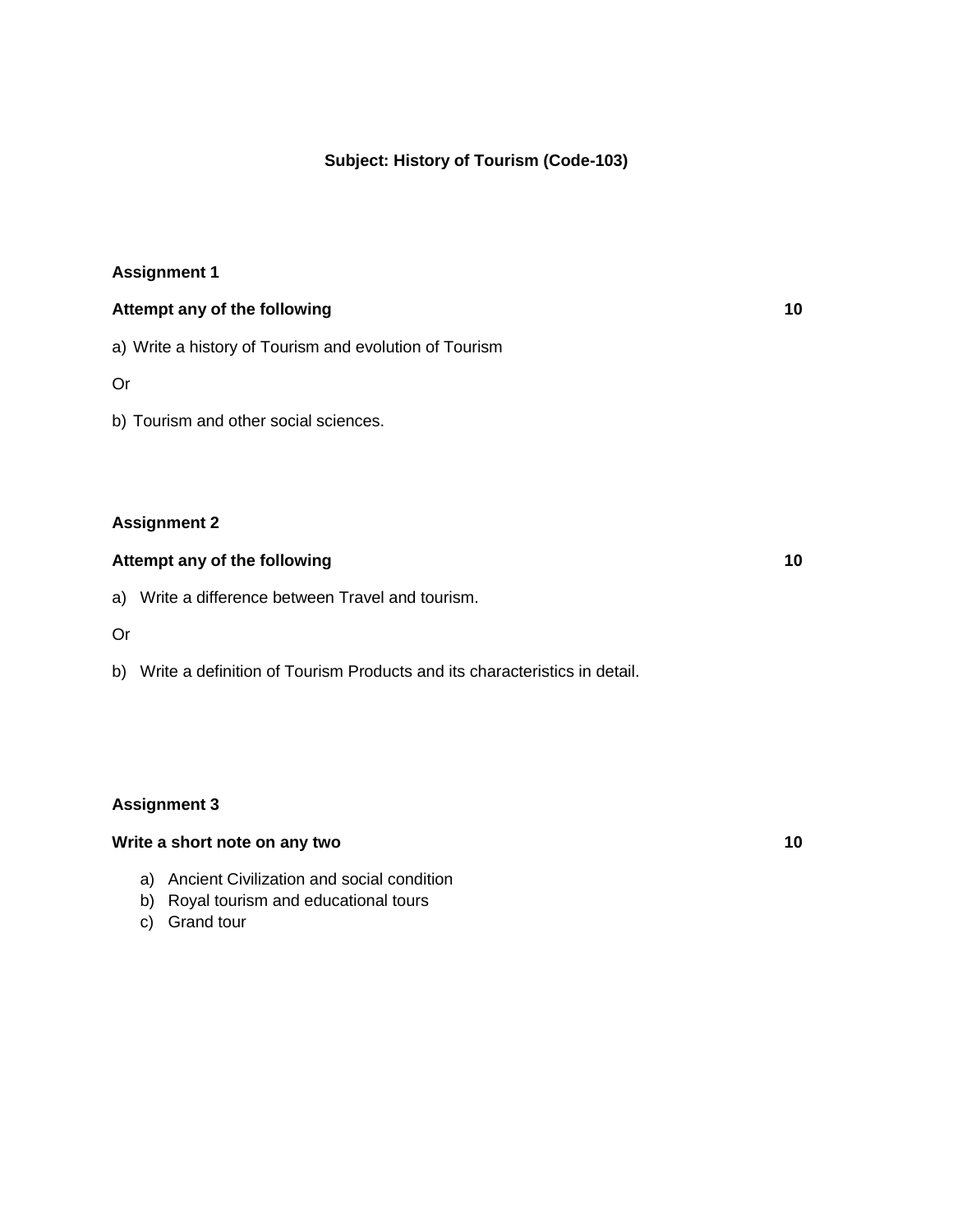### **Subject: History of Tourism (Code-103)**

### **Assignment 1**

| Attempt any of the following                           | 10 |
|--------------------------------------------------------|----|
| a) Write a history of Tourism and evolution of Tourism |    |

Or

b) Tourism and other social sciences.

### **Assignment 2**

### **Attempt any of the following 10**

a) Write a difference between Travel and tourism.

Or

b) Write a definition of Tourism Products and its characteristics in detail.

### **Assignment 3**

### **Write a short note on any two 10**

- a) Ancient Civilization and social condition
- b) Royal tourism and educational tours
- c) Grand tour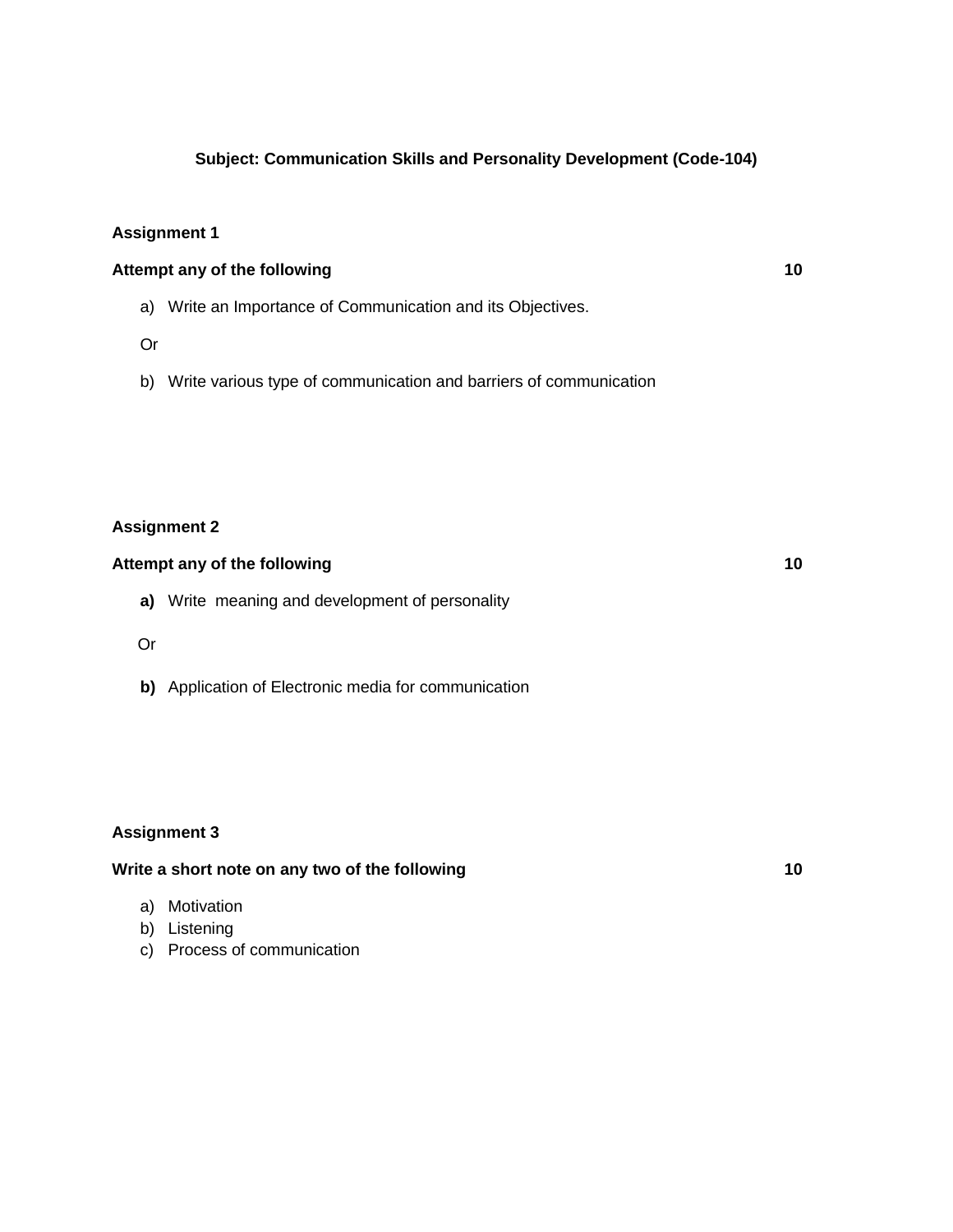### **Subject: Communication Skills and Personality Development (Code-104)**

### **Assignment 1**

### **Attempt any of the following 10**

- a) Write an Importance of Communication and its Objectives.
- Or
- b) Write various type of communication and barriers of communication

### **Assignment 2**

### **Attempt any of the following 10**

- **a)** Write meaning and development of personality
- Or
- **b)** Application of Electronic media for communication

#### **Assignment 3**

### Write a short note on any two of the following **10**

- a) Motivation
- b) Listening
- c) Process of communication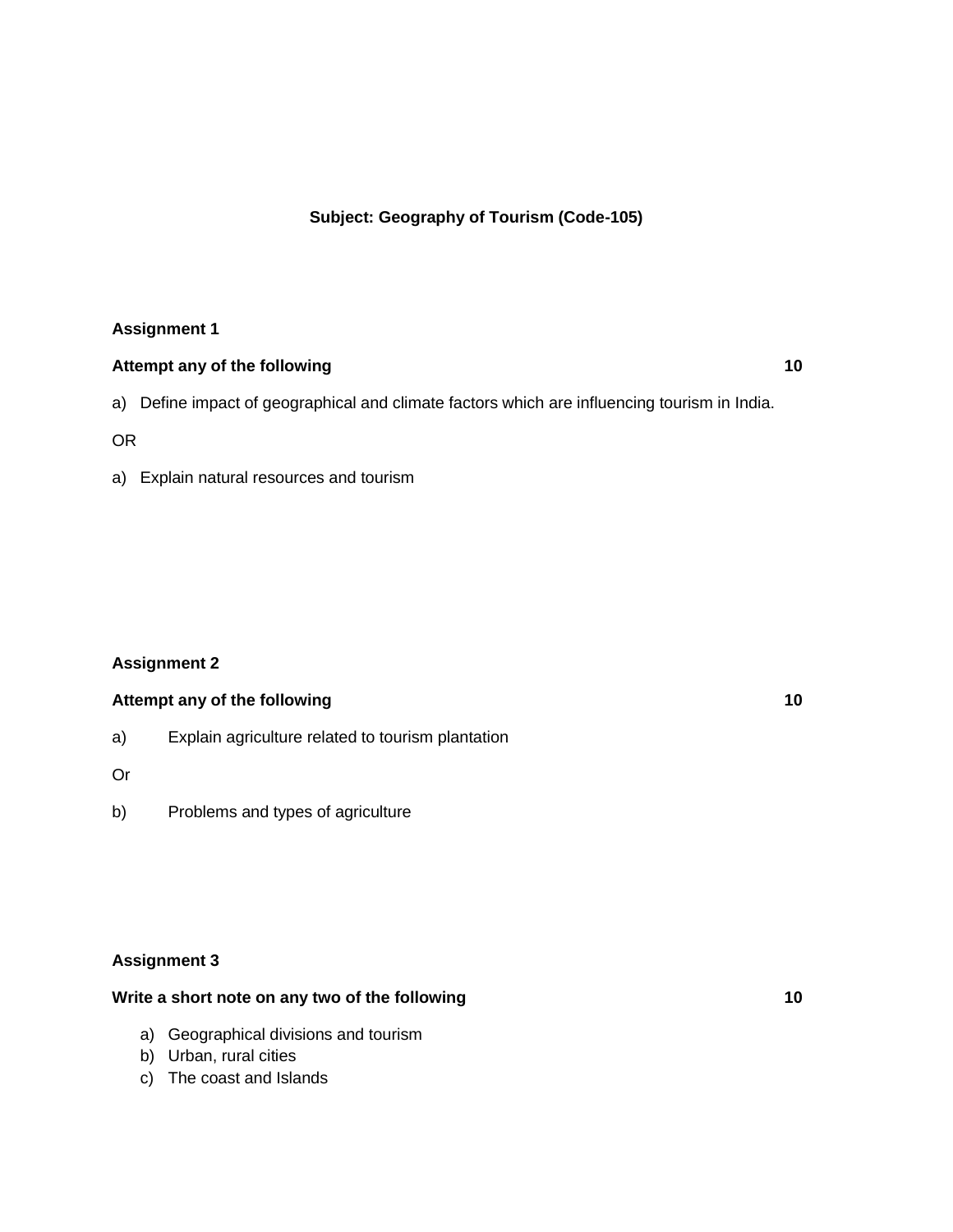### **Subject: Geography of Tourism (Code-105)**

### **Assignment 1**

## **Attempt any of the following 10** a) Define impact of geographical and climate factors which are influencing tourism in India.

OR

a) Explain natural resources and tourism

### **Assignment 2**

### **Attempt any of the following 10**

a) Explain agriculture related to tourism plantation

Or

b) Problems and types of agriculture

### **Assignment 3**

### **Write a short note on any two of the following 10**

- a) Geographical divisions and tourism
- b) Urban, rural cities
- c) The coast and Islands